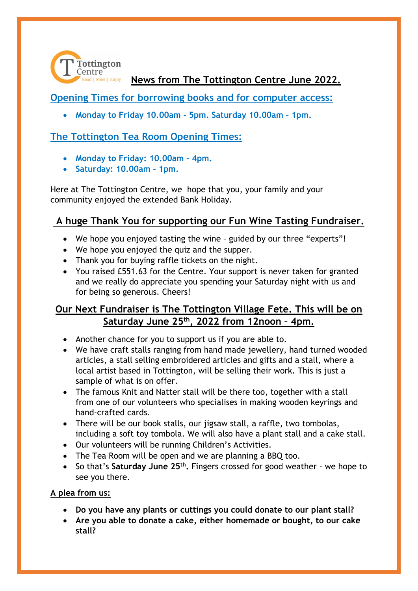

### Read | Meet | Enjoy **News from The Tottington Centre June 2022.**

# **Opening Times for borrowing books and for computer access:**

• **Monday to Friday 10.00am - 5pm. Saturday 10.00am – 1pm.**

### **The Tottington Tea Room Opening Times:**

- **Monday to Friday: 10.00am – 4pm.**
- **Saturday: 10.00am – 1pm.**

Here at The Tottington Centre, we hope that you, your family and your community enjoyed the extended Bank Holiday.

# **A huge Thank You for supporting our Fun Wine Tasting Fundraiser.**

- We hope you enjoyed tasting the wine guided by our three "experts"!
- We hope you enjoyed the quiz and the supper.
- Thank you for buying raffle tickets on the night.
- You raised £551.63 for the Centre. Your support is never taken for granted and we really do appreciate you spending your Saturday night with us and for being so generous. Cheers!

# **Our Next Fundraiser is The Tottington Village Fete. This will be on Saturday June 25th, 2022 from 12noon – 4pm.**

- Another chance for you to support us if you are able to.
- We have craft stalls ranging from hand made jewellery, hand turned wooded articles, a stall selling embroidered articles and gifts and a stall, where a local artist based in Tottington, will be selling their work. This is just a sample of what is on offer.
- The famous Knit and Natter stall will be there too, together with a stall from one of our volunteers who specialises in making wooden keyrings and hand-crafted cards.
- There will be our book stalls, our jigsaw stall, a raffle, two tombolas, including a soft toy tombola. We will also have a plant stall and a cake stall.
- Our volunteers will be running Children's Activities.
- The Tea Room will be open and we are planning a BBQ too.
- So that's Saturday June 25<sup>th</sup>. Fingers crossed for good weather we hope to see you there.

#### **A plea from us:**

- **Do you have any plants or cuttings you could donate to our plant stall?**
- **Are you able to donate a cake, either homemade or bought, to our cake stall?**